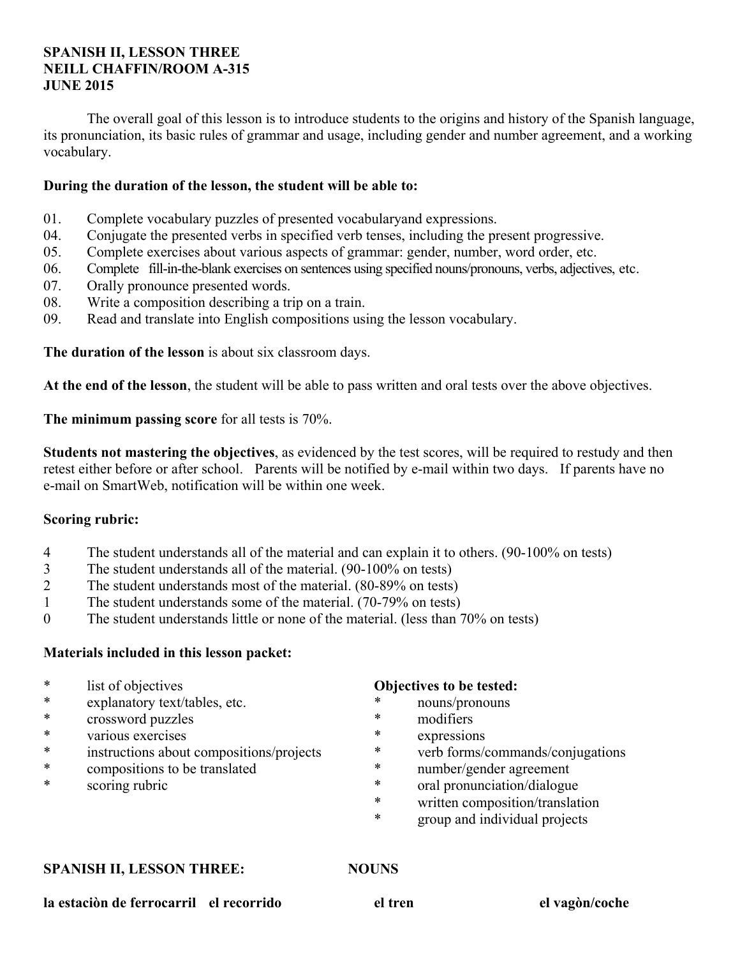# **SPANISH II, LESSON THREE NEILL CHAFFIN/ROOM A-315 JUNE 2015**

 The overall goal of this lesson is to introduce students to the origins and history of the Spanish language, its pronunciation, its basic rules of grammar and usage, including gender and number agreement, and a working vocabulary.

# **During the duration of the lesson, the student will be able to:**

- 01. Complete vocabulary puzzles of presented vocabularyand expressions.
- 04. Conjugate the presented verbs in specified verb tenses, including the present progressive.
- 05. Complete exercises about various aspects of grammar: gender, number, word order, etc.
- 06. Complete fill-in-the-blank exercises on sentences using specified nouns/pronouns, verbs, adjectives, etc.
- 07. Orally pronounce presented words.
- 08. Write a composition describing a trip on a train.
- 09. Read and translate into English compositions using the lesson vocabulary.

**The duration of the lesson** is about six classroom days.

**At the end of the lesson**, the student will be able to pass written and oral tests over the above objectives.

**The minimum passing score** for all tests is 70%.

**Students not mastering the objectives**, as evidenced by the test scores, will be required to restudy and then retest either before or after school. Parents will be notified by e-mail within two days. If parents have no e-mail on SmartWeb, notification will be within one week.

## **Scoring rubric:**

- 4 The student understands all of the material and can explain it to others. (90-100% on tests)
- 3 The student understands all of the material. (90-100% on tests)
- 2 The student understands most of the material. (80-89% on tests)
- 1 The student understands some of the material. (70-79% on tests)
- 0 The student understands little or none of the material. (less than 70% on tests)

## **Materials included in this lesson packet:**

- \* list of objectives
- \* explanatory text/tables, etc.
- \* crossword puzzles
- \* various exercises
- instructions about compositions/projects
- \* compositions to be translated
- \* scoring rubric

## **Objectives to be tested:**

- nouns/pronouns
- \* modifiers
- \* expressions
- verb forms/commands/conjugations
- \* number/gender agreement
- \* oral pronunciation/dialogue
- \* written composition/translation
- \* group and individual projects

#### **SPANISH II, LESSON THREE: NOUNS**

**la estaciòn de ferrocarril el recorrido el tren el vagòn/coche**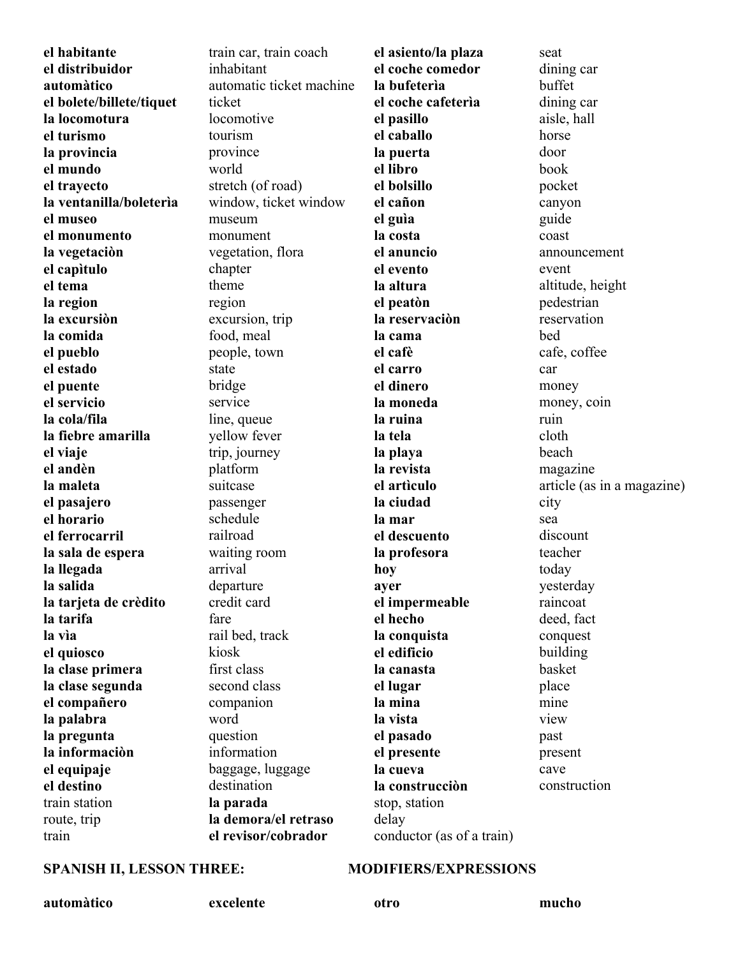**el habitante el distribuidor automàtico el bolete/billete/tiquet la locomotura el turismo la provincia el mundo el trayecto la ventanilla/boleterìa el museo el monumento la vegetaciòn el capìtulo el tema la region la excursiòn la comida el pueblo el estado el puente el servicio la cola/fila la fiebre amarilla el viaje el andèn la maleta el pasajero el horario el ferrocarril la sala de espera la llegada la salida la tarjeta de crèdito la tarifa la vìa el quiosco la clase primera la clase segunda el compañero la palabra la pregunta la informaciòn el equipaje el destino** train station route, trip train

train car, train coach inhabitant automatic ticket machine ticket locomotive tourism province world stretch (of road) window, ticket window museum monument vegetation, flora chapter theme region excursion, trip food, meal people, town state bridge service line, queue yellow fever trip, journey platform suitcase passenger schedule railroad waiting room arrival departure credit card fare rail bed, track kiosk first class second class companion word question information baggage, luggage destination **la parada la demora/el retraso el revisor/cobrador**

**el asiento/la plaza el coche comedor la bufeterìa el coche cafeterìa el pasillo el caballo la puerta el libro el bolsillo el cañon el guìa la costa el anuncio el evento la altura el peatòn la reservaciòn la cama el cafè el carro el dinero la moneda la ruina la tela la playa la revista el artìculo la ciudad la mar el descuento la profesora hoy ayer el impermeable el hecho la conquista el edificio la canasta el lugar la mina la vista el pasado el presente la cueva la construcciòn**  stop, station delay conductor (as of a train)

seat dining car buffet dining car aisle, hall horse door book pocket canyon guide coast announcement event altitude, height pedestrian reservation bed cafe, coffee car money money, coin ruin cloth beach magazine article (as in a magazine) city sea discount teacher today yesterday raincoat deed, fact conquest building basket place mine view past present cave construction

### SPANISH II, LESSON THREE: MODIFIERS/EXPRESSIONS

**automàtico excelente otro mucho**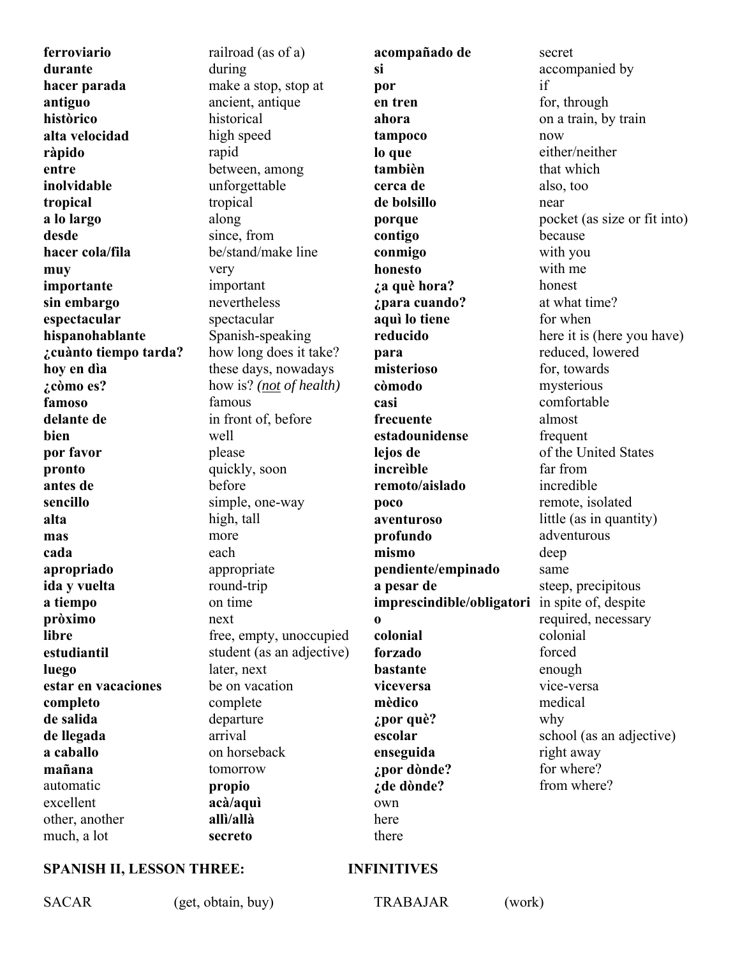**ferroviario durante hacer parada antiguo històrico alta velocidad ràpido entre inolvidable tropical a lo largo desde hacer cola/fila muy importante sin embargo espectacular hispanohablante ¿cuànto tiempo tarda? hoy en dìa ¿còmo es? famoso delante de bien por favor pronto antes de sencillo alta mas cada apropriado ida y vuelta a tiempo pròximo libre estudiantil luego estar en vacaciones completo de salida de llegada a caballo mañana** automatic excellent other, another much, a lot

railroad (as of a) during make a stop, stop at ancient, antique historical high speed rapid between, among unforgettable tropical along since, from be/stand/make line very important nevertheless spectacular Spanish-speaking how long does it take? these days, nowadays how is? *(not of health)* famous in front of, before well please quickly, soon before simple, one-way high, tall more each appropriate round-trip on time next free, empty, unoccupied student (as an adjective) later, next be on vacation complete departure arrival on horseback tomorrow **propio acà/aquì allì/allà secreto** 

**acompañado de si por en tren ahora tampoco lo que tambièn cerca de de bolsillo porque contigo conmigo honesto ¿a què hora? ¿para cuando? aquì lo tiene reducido para misterioso còmodo casi frecuente estadounidense lejos de increìble remoto/aislado poco aventuroso profundo mismo pendiente/empinado a pesar de imprescindible/obligatori o colonial forzado bastante viceversa mèdico ¿por què? escolar enseguida ¿por dònde? ¿de dònde?** own here there

secret accompanied by if for, through on a train, by train now either/neither that which also, too near pocket (as size or fit into) because with you with me honest at what time? for when here it is (here you have) reduced, lowered for, towards mysterious comfortable almost frequent of the United States far from incredible remote, isolated little (as in quantity) adventurous deep same steep, precipitous in spite of, despite required, necessary colonial forced enough vice-versa medical why school (as an adjective) right away for where? from where?

#### **SPANISH II, LESSON THREE: INFINITIVES**

SACAR (get, obtain, buy) TRABAJAR (work)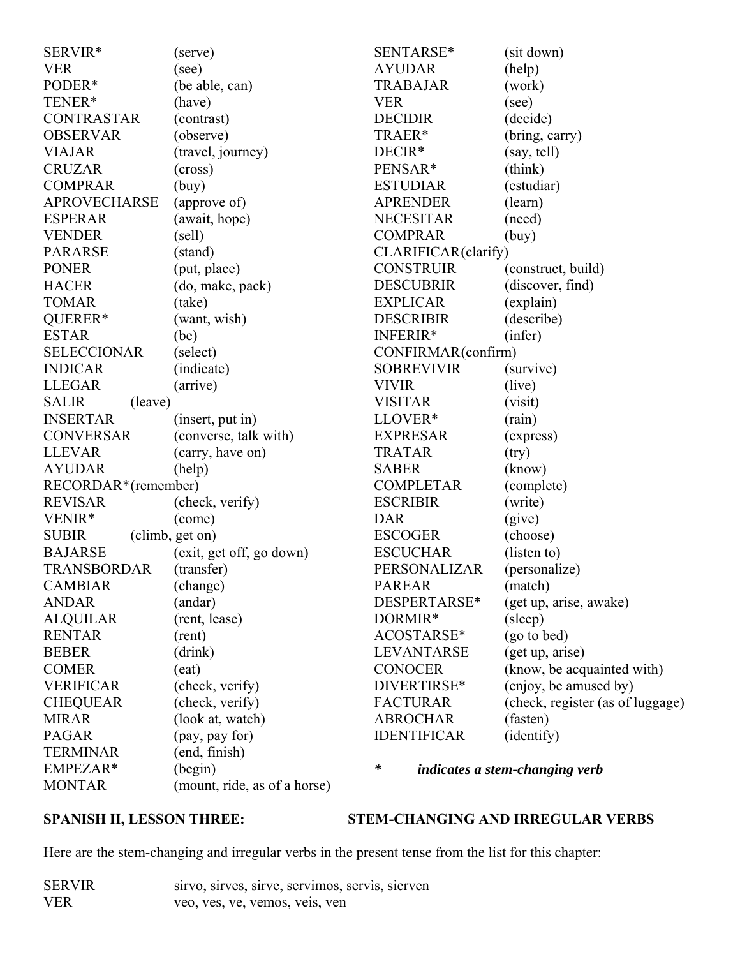| SERVIR*                 | (serve)                      | SENTARSE*           | (sit down)                            |
|-------------------------|------------------------------|---------------------|---------------------------------------|
| <b>VER</b>              | (see)                        | <b>AYUDAR</b>       | (help)                                |
| PODER*                  | (be able, can)               | <b>TRABAJAR</b>     | (work)                                |
| TENER*                  | (have)                       | <b>VER</b>          | (see)                                 |
| <b>CONTRASTAR</b>       | (contrast)                   | <b>DECIDIR</b>      | (decide)                              |
| <b>OBSERVAR</b>         | (observe)                    | TRAER*              | (bring, carry)                        |
| <b>VIAJAR</b>           | (travel, journey)            | DECIR*              | (say, tell)                           |
| <b>CRUZAR</b>           | (cross)                      | PENSAR*             | (think)                               |
| <b>COMPRAR</b>          | (buy)                        | <b>ESTUDIAR</b>     | (estudiar)                            |
| <b>APROVECHARSE</b>     | (approve of)                 | <b>APRENDER</b>     | (learn)                               |
| <b>ESPERAR</b>          | (await, hope)                | <b>NECESITAR</b>    | (need)                                |
| <b>VENDER</b>           | (sell)                       | <b>COMPRAR</b>      | (buy)                                 |
| <b>PARARSE</b>          | (stand)                      | CLARIFICAR(clarify) |                                       |
| <b>PONER</b>            | (put, place)                 | <b>CONSTRUIR</b>    | (construct, build)                    |
| <b>HACER</b>            | (do, make, pack)             | <b>DESCUBRIR</b>    | (discover, find)                      |
| <b>TOMAR</b>            | (take)                       | <b>EXPLICAR</b>     | (explain)                             |
| QUERER*                 | (want, wish)                 | <b>DESCRIBIR</b>    | (describe)                            |
| <b>ESTAR</b>            | (be)                         | INFERIR*            | (infer)                               |
| <b>SELECCIONAR</b>      | (select)                     | CONFIRMAR(confirm)  |                                       |
| <b>INDICAR</b>          | (indicate)                   | <b>SOBREVIVIR</b>   | (survive)                             |
| <b>LLEGAR</b>           | (arrive)                     | <b>VIVIR</b>        | (live)                                |
| <b>SALIR</b><br>(leave) |                              | <b>VISITAR</b>      | (visit)                               |
| <b>INSERTAR</b>         | (insert, put in)             | LLOVER*             | (rain)                                |
| <b>CONVERSAR</b>        | (converse, talk with)        | <b>EXPRESAR</b>     | (express)                             |
| <b>LLEVAR</b>           | (carry, have on)             | <b>TRATAR</b>       | (try)                                 |
| <b>AYUDAR</b>           | (help)                       | <b>SABER</b>        | (know)                                |
| RECORDAR*(remember)     |                              | <b>COMPLETAR</b>    | (complete)                            |
| <b>REVISAR</b>          | (check, verify)              | <b>ESCRIBIR</b>     | (write)                               |
| VENIR*                  | (come)                       | <b>DAR</b>          | (give)                                |
| <b>SUBIR</b>            | (climb, get on)              | <b>ESCOGER</b>      | (choose)                              |
| <b>BAJARSE</b>          | (exit, get off, go down)     | <b>ESCUCHAR</b>     | (listen to)                           |
| <b>TRANSBORDAR</b>      | (transfer)                   | PERSONALIZAR        | (personalize)                         |
| <b>CAMBIAR</b>          | (change)                     | <b>PAREAR</b>       | (match)                               |
| <b>ANDAR</b>            | (andar)                      | DESPERTARSE*        | (get up, arise, awake)                |
| <b>ALQUILAR</b>         | (rent, lease)                | DORMIR*             | (sleep)                               |
| <b>RENTAR</b>           | (rent)                       | ACOSTARSE*          | (go to bed)                           |
| <b>BEBER</b>            | (drink)                      | LEVANTARSE          | (get up, arise)                       |
| <b>COMER</b>            | (eat)                        | <b>CONOCER</b>      | (know, be acquainted with)            |
| <b>VERIFICAR</b>        | (check, verify)              | DIVERTIRSE*         | (enjoy, be amused by)                 |
| <b>CHEQUEAR</b>         | (check, verify)              | <b>FACTURAR</b>     | (check, register (as of luggage)      |
| <b>MIRAR</b>            | (look at, watch)             | <b>ABROCHAR</b>     | (fasten)                              |
| <b>PAGAR</b>            | (pay, pay for)               | <b>IDENTIFICAR</b>  | (identify)                            |
| <b>TERMINAR</b>         | (end, finish)                |                     |                                       |
| EMPEZAR*                | (begin)                      | $\ast$              | <i>indicates a stem-changing verb</i> |
| <b>MONTAR</b>           | (mount, ride, as of a horse) |                     |                                       |

**SPANISH II, LESSON THREE: STEM-CHANGING AND IRREGULAR VERBS**

Here are the stem-changing and irregular verbs in the present tense from the list for this chapter:

| SERVIR | sirvo, sirves, sirve, servimos, servis, sierven |  |  |
|--------|-------------------------------------------------|--|--|
| VER    | veo, ves, ve, vemos, veis, ven                  |  |  |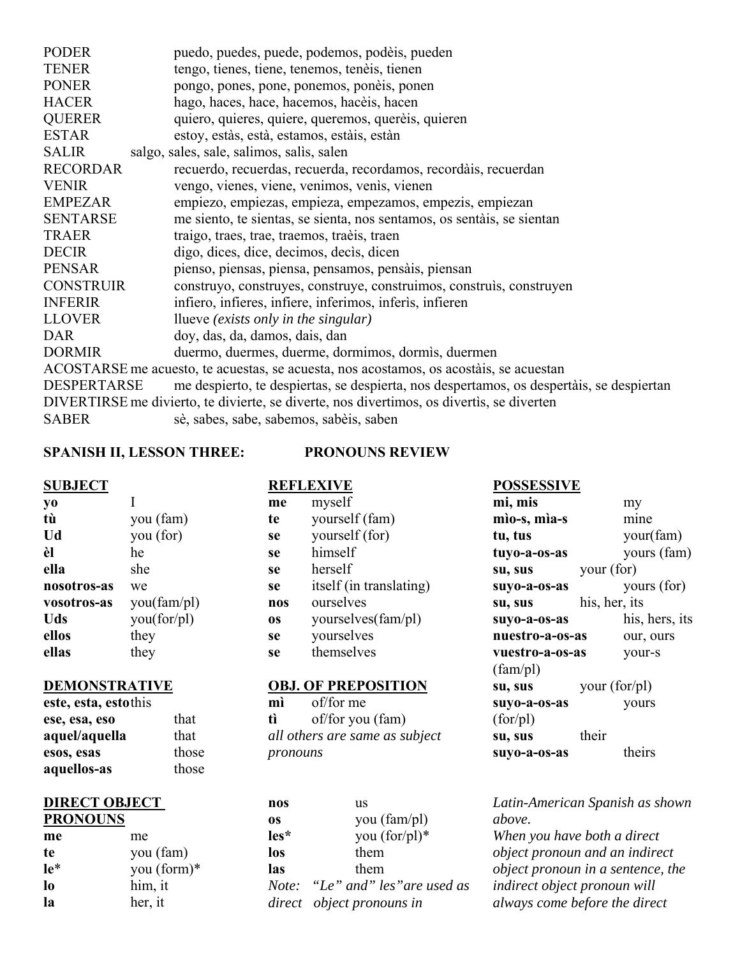| <b>PODER</b>       | puedo, puedes, puede, podemos, podèis, pueden                                             |
|--------------------|-------------------------------------------------------------------------------------------|
| <b>TENER</b>       | tengo, tienes, tiene, tenemos, tenèis, tienen                                             |
| <b>PONER</b>       | pongo, pones, pone, ponemos, poneis, ponen                                                |
| <b>HACER</b>       | hago, haces, hace, hacemos, hacèis, hacen                                                 |
| <b>QUERER</b>      | quiero, quieres, quiere, queremos, querèis, quieren                                       |
| <b>ESTAR</b>       | estoy, estàs, està, estamos, estàis, estàn                                                |
| <b>SALIR</b>       | salgo, sales, sale, salimos, salis, salen                                                 |
| <b>RECORDAR</b>    | recuerdo, recuerdas, recuerda, recordamos, recordais, recuerdan                           |
| <b>VENIR</b>       | vengo, vienes, viene, venimos, venis, vienen                                              |
| <b>EMPEZAR</b>     | empiezo, empiezas, empieza, empezamos, empezis, empiezan                                  |
| <b>SENTARSE</b>    | me siento, te sientas, se sienta, nos sentamos, os sentais, se sientan                    |
| <b>TRAER</b>       | traigo, traes, trae, traemos, traèis, traen                                               |
| <b>DECIR</b>       | digo, dices, dice, decimos, decis, dicen                                                  |
| <b>PENSAR</b>      | pienso, piensas, piensa, pensamos, pensais, piensan                                       |
| <b>CONSTRUIR</b>   | construyo, construyes, construye, construimos, construis, construyen                      |
| <b>INFERIR</b>     | infiero, infieres, infiere, inferimos, inferis, infieren                                  |
| <b>LLOVER</b>      | llueve <i>(exists only in the singular)</i>                                               |
| <b>DAR</b>         | doy, das, da, damos, dais, dan                                                            |
| <b>DORMIR</b>      | duermo, duermes, duerme, dormimos, dormis, duermen                                        |
|                    | ACOSTARSE me acuesto, te acuestas, se acuesta, nos acostamos, os acostáis, se acuestan    |
| <b>DESPERTARSE</b> | me despierto, te despiertas, se despierta, nos despertamos, os despertàis, se despiertan  |
|                    | DIVERTIRSE me divierto, te divierte, se diverte, nos divertimos, os divertis, se diverten |
| <b>SABER</b>       | sè, sabes, sabe, sabemos, sabèis, saben                                                   |

### **SPANISH II, LESSON THREE: PRONOUNS REVIEW**

**REFLEXIVE**

| <b>SUBJECT</b> |
|----------------|
|----------------|

| V0          | T           |
|-------------|-------------|
| tù          | you (fam)   |
| Ud          | you (for)   |
| èl          | he          |
| ella        | she         |
| nosotros-as | we          |
| vosotros-as | you(fam/pl) |
| Uds         | you(for/pl) |
| ellos       | they        |
| ellas       | they        |

# **DEMONSTRATIVE**

| este, esta, estothis |       |
|----------------------|-------|
| ese, esa, eso        | that  |
| aquel/aquella        | that  |
| esos, esas           | those |
| aquellos-as          | those |

## **DIRECT OBJECT PRONOUNS**

| me    | me          |
|-------|-------------|
| te    | you (fam)   |
| $1e*$ | you (form)* |
| l0    | him, it     |
| Iя    | her, it     |

| me  | myself                  |
|-----|-------------------------|
| te  | yourself (fam)          |
| se  | yourself (for)          |
| se  | himself                 |
| se  | herself                 |
| se  | itself (in translating) |
| nos | ourselves               |
| os  | yourselves(fam/pl)      |
| se  | yourselves              |
| se  | themselves              |

# **OBJ. OF PREPOSITION**

**mì** of/for me **tì** of/for you (fam) *all others are same as subject pronouns*

| nos  | us                              |
|------|---------------------------------|
| 0S   | you (fam/pl)                    |
| les* | you $(for/pl)^*$                |
| los  | them                            |
| las  | them                            |
|      | Note: "Le" and" les"are used as |
|      | direct object pronouns in       |

**POSSESSIVE**

| mi, mis         | my             |
|-----------------|----------------|
| mìo-s, mìa-s    | mine           |
| tu, tus         | your(fam)      |
| tuyo-a-os-as    | yours (fam)    |
| su, sus         | your (for)     |
| suyo-a-os-as    | yours (for)    |
| su, sus         | his, her, its  |
| suyo-a-os-as    | his, hers, its |
| nuestro-a-os-as | our, ours      |
| vuestro-a-os-as | your-s         |
| $(fam\}/pl)$    |                |
| su, sus         | your $(for/d)$ |
| suyo-a-os-as    | yours          |
| (for/pl)        |                |
| su, sus         | their          |
| suvo-a-os-as    | theirs         |

*Latin-American Spanish as shown above.*

*When you have both a direct object pronoun and an indirect object pronoun in a sentence, the indirect object pronoun will always come before the direct*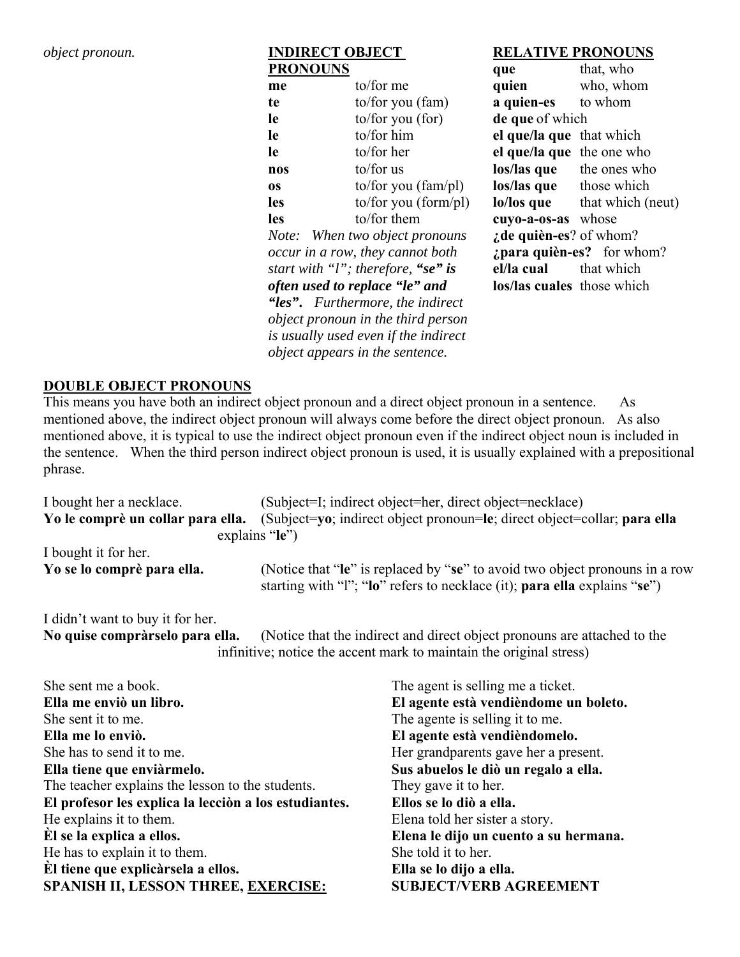# *object pronoun.* **INDIRECT OBJECT PRONOUNS**

| <b>PRONOUNS</b>                |                                                                         | que                            | that, who                           |
|--------------------------------|-------------------------------------------------------------------------|--------------------------------|-------------------------------------|
| me                             | to/for me                                                               | quien                          | who, whom                           |
| te                             | to/for you $(fam)$                                                      | <b>a quien-es</b> to whom      |                                     |
| le                             | to/for you (for)                                                        | de que of which                |                                     |
| le                             | to/for him                                                              | el que/la que that which       |                                     |
| le                             | to/for her                                                              | el que/la que the one who      |                                     |
| nos                            | to/for $us$                                                             |                                | <b>los/las que</b> the ones who     |
| <b>OS</b>                      | to/for you $(fam\$ ]                                                    | <b>los/las que</b> those which |                                     |
| <b>les</b>                     | to/for you (form/pl)                                                    |                                | <b>lo/los</b> que that which (neut) |
| <b>les</b>                     | to/for them                                                             | cuyo-a-os-as whose             |                                     |
|                                | Note: When two object pronouns                                          | $:$ de quièn-es? of whom?      |                                     |
|                                | occur in a row, they cannot both                                        |                                | $i$ <b>para quièn-es?</b> for whom? |
|                                | start with "l"; therefore, "se" is                                      | el/la cual                     | that which                          |
| often used to replace "le" and |                                                                         | los/las cuales those which     |                                     |
|                                | "les". Furthermore, the indirect                                        |                                |                                     |
|                                | <i>object pronoun in the third person</i>                               |                                |                                     |
|                                | is usually used even if the indirect<br>object appears in the sentence. |                                |                                     |

**RELATIVE PRONOUNS**

# **DOUBLE OBJECT PRONOUNS**

This means you have both an indirect object pronoun and a direct object pronoun in a sentence. As mentioned above, the indirect object pronoun will always come before the direct object pronoun. As also mentioned above, it is typical to use the indirect object pronoun even if the indirect object noun is included in the sentence. When the third person indirect object pronoun is used, it is usually explained with a prepositional phrase.

| I bought her a necklace.          | (Subject=I; indirect object=her, direct object=necklace)                                                                                                 |
|-----------------------------------|----------------------------------------------------------------------------------------------------------------------------------------------------------|
| Yo le comprè un collar para ella. | (Subject=yo; indirect object pronoun=le; direct object=collar; para ella                                                                                 |
|                                   | explains $\mathbf{e}$ "le")                                                                                                                              |
| I bought it for her.              |                                                                                                                                                          |
| Yo se lo comprè para ella.        | (Notice that "le" is replaced by "se" to avoid two object pronouns in a row<br>starting with "l"; "lo" refers to necklace (it); para ella explains "se") |
| T 1'1 3. . 1 . C 1                |                                                                                                                                                          |

I didn't want to buy it for her.

**No quise compràrselo para ella.** (Notice that the indirect and direct object pronouns are attached to the infinitive; notice the accent mark to maintain the original stress)

| She sent me a book.                                   | The agent is selling me a ticket.     |
|-------------------------------------------------------|---------------------------------------|
| Ella me enviò un libro.                               | El agente està vendièndome un boleto. |
| She sent it to me.                                    | The agente is selling it to me.       |
| Ella me lo enviò.                                     | El agente està vendièndomelo.         |
| She has to send it to me.                             | Her grandparents gave her a present.  |
| Ella tiene que enviàrmelo.                            | Sus abuelos le diò un regalo a ella.  |
| The teacher explains the lesson to the students.      | They gave it to her.                  |
| El profesor les explica la lección a los estudiantes. | Ellos se lo diò a ella.               |
| He explains it to them.                               | Elena told her sister a story.        |
| El se la explica a ellos.                             | Elena le dijo un cuento a su hermana. |
| He has to explain it to them.                         | She told it to her.                   |
| Èl tiene que explicàrsela a ellos.                    | Ella se lo dijo a ella.               |
| <b>SPANISH II, LESSON THREE, EXERCISE:</b>            | <b>SUBJECT/VERB AGREEMENT</b>         |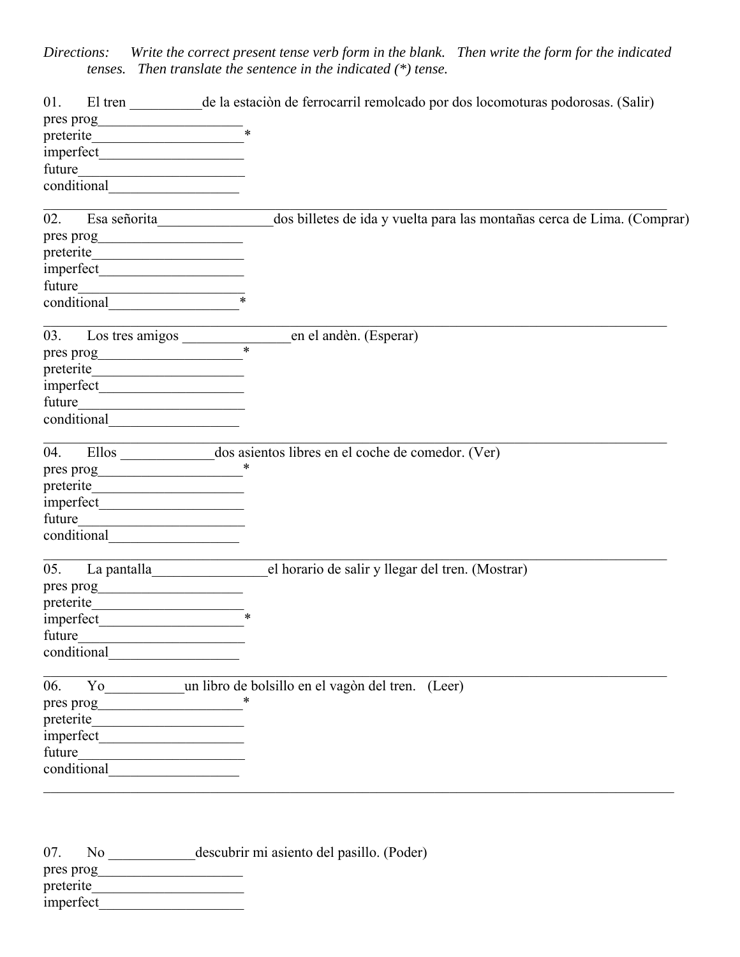*Directions: Write the correct present tense verb form in the blank. Then write the form for the indicated tenses. Then translate the sentence in the indicated (\*) tense.*

| 01.       |              | El tren ________ de la estación de ferrocarril remolcado por dos locomoturas podorosas. (Salir) |
|-----------|--------------|-------------------------------------------------------------------------------------------------|
|           |              |                                                                                                 |
|           |              |                                                                                                 |
|           |              |                                                                                                 |
| future    |              |                                                                                                 |
|           | conditional  |                                                                                                 |
|           |              |                                                                                                 |
| 02.       | Esa señorita | dos billetes de ida y vuelta para las montañas cerca de Lima. (Comprar)                         |
|           |              |                                                                                                 |
|           |              |                                                                                                 |
|           |              |                                                                                                 |
| future    |              |                                                                                                 |
|           |              |                                                                                                 |
|           |              | en el andèn. (Esperar)                                                                          |
|           |              | $\ast$                                                                                          |
|           |              |                                                                                                 |
|           |              |                                                                                                 |
| future    |              |                                                                                                 |
|           |              |                                                                                                 |
|           |              |                                                                                                 |
| 04.       |              |                                                                                                 |
|           |              |                                                                                                 |
|           |              |                                                                                                 |
|           |              |                                                                                                 |
| future    |              |                                                                                                 |
|           |              |                                                                                                 |
| 05.       |              | el horario de salir y llegar del tren. (Mostrar)                                                |
|           |              |                                                                                                 |
|           |              |                                                                                                 |
|           |              | $\ast$                                                                                          |
| future    |              |                                                                                                 |
|           | conditional  |                                                                                                 |
|           |              |                                                                                                 |
| 06.       |              | Yo un libro de bolsillo en el vagòn del tren. (Leer)                                            |
| pres prog |              |                                                                                                 |
|           |              |                                                                                                 |
|           |              |                                                                                                 |
| future    |              |                                                                                                 |
|           | conditional  |                                                                                                 |

| 07.<br>Nο | descubrir mi asiento del pasillo. (Poder) |
|-----------|-------------------------------------------|
| pres prog |                                           |
| preterite |                                           |
| imperfect |                                           |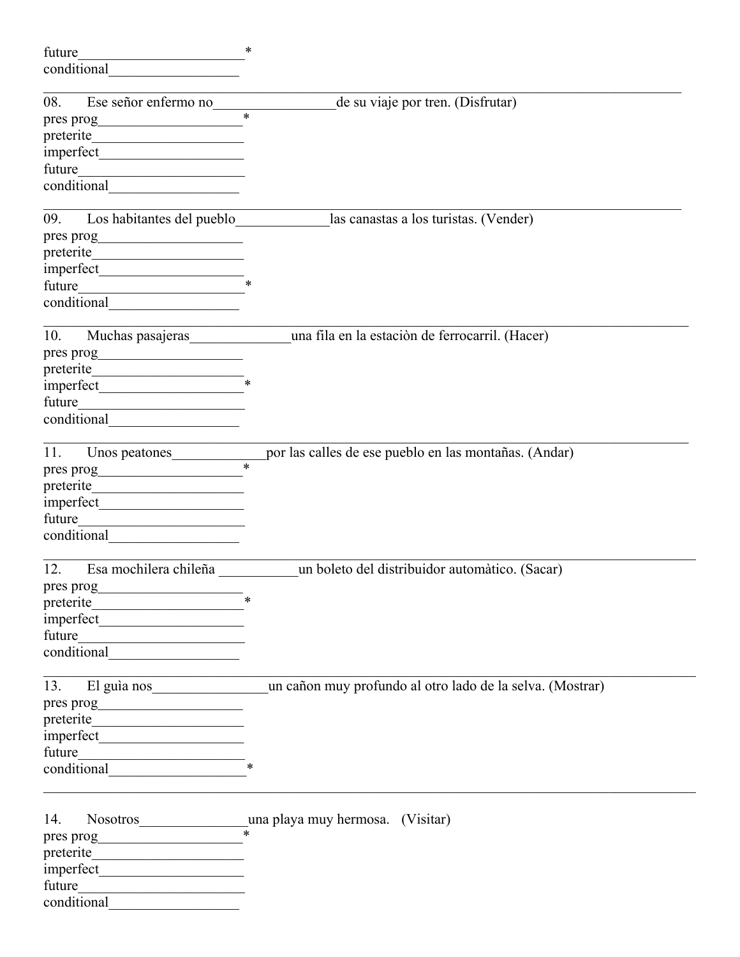| future                                                                | $\ast$                                                                    |
|-----------------------------------------------------------------------|---------------------------------------------------------------------------|
| conditional                                                           |                                                                           |
|                                                                       |                                                                           |
| Ese señor enfermo no<br>08.                                           | de su viaje por tren. (Disfrutar)<br>$\ast$                               |
| pres prog                                                             |                                                                           |
|                                                                       |                                                                           |
|                                                                       |                                                                           |
| future<br><u> 1990 - Johann Barbara, martin amerikan basa</u>         |                                                                           |
| conditional conditional                                               |                                                                           |
| Los habitantes del pueblo<br>09.                                      | las canastas a los turistas. (Vender)                                     |
| pres prog<br><u> 1989 - Johann John Stein, mars eta biztanleria (</u> |                                                                           |
| preterite                                                             |                                                                           |
|                                                                       |                                                                           |
| future                                                                |                                                                           |
| conditional conditional                                               |                                                                           |
|                                                                       |                                                                           |
| 10.<br>Muchas pasajeras                                               | una fila en la estación de ferrocarril. (Hacer)                           |
| pres prog<br><u> 1990 - Johann Barbara, martxa a</u>                  |                                                                           |
| preterite                                                             |                                                                           |
|                                                                       |                                                                           |
| future<br>the control of the control of the control of the control of |                                                                           |
| conditional                                                           |                                                                           |
| 11.<br>Unos peatones                                                  | por las calles de ese pueblo en las montañas. (Andar)                     |
|                                                                       | $\ast$                                                                    |
|                                                                       |                                                                           |
|                                                                       |                                                                           |
| future<br><u> 1989 - Johann Barbara, martin amerikan ba</u>           |                                                                           |
| conditional                                                           |                                                                           |
|                                                                       |                                                                           |
| Esa mochilera chileña<br>12.                                          | un boleto del distribuidor automàtico. (Sacar)                            |
| $\frac{1}{2}$ pres prog                                               |                                                                           |
| preterite                                                             |                                                                           |
|                                                                       |                                                                           |
|                                                                       |                                                                           |
|                                                                       |                                                                           |
|                                                                       | 13. El guía nos un cañon muy profundo al otro lado de la selva. (Mostrar) |
|                                                                       |                                                                           |
| preterite                                                             |                                                                           |
|                                                                       |                                                                           |
|                                                                       |                                                                           |
|                                                                       |                                                                           |
|                                                                       |                                                                           |
| 14.                                                                   |                                                                           |
|                                                                       |                                                                           |
|                                                                       |                                                                           |
|                                                                       |                                                                           |
|                                                                       |                                                                           |
| conditional                                                           |                                                                           |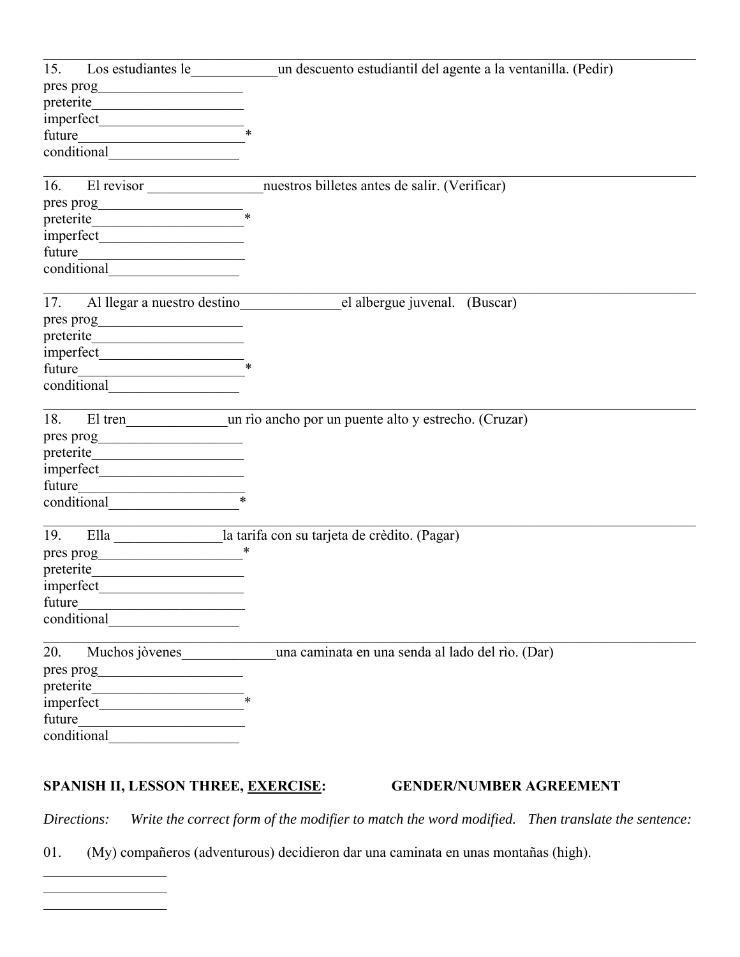| 15.                                                                                                                                                                                                                                                                                |                                                                                  |
|------------------------------------------------------------------------------------------------------------------------------------------------------------------------------------------------------------------------------------------------------------------------------------|----------------------------------------------------------------------------------|
|                                                                                                                                                                                                                                                                                    |                                                                                  |
| preterite                                                                                                                                                                                                                                                                          |                                                                                  |
| $imperfect$ *                                                                                                                                                                                                                                                                      |                                                                                  |
|                                                                                                                                                                                                                                                                                    |                                                                                  |
|                                                                                                                                                                                                                                                                                    |                                                                                  |
|                                                                                                                                                                                                                                                                                    |                                                                                  |
| 16.                                                                                                                                                                                                                                                                                | El revisor ________________________nuestros billetes antes de salir. (Verificar) |
|                                                                                                                                                                                                                                                                                    |                                                                                  |
| preterite                                                                                                                                                                                                                                                                          |                                                                                  |
|                                                                                                                                                                                                                                                                                    |                                                                                  |
|                                                                                                                                                                                                                                                                                    |                                                                                  |
|                                                                                                                                                                                                                                                                                    |                                                                                  |
|                                                                                                                                                                                                                                                                                    |                                                                                  |
|                                                                                                                                                                                                                                                                                    | 17. Al llegar a nuestro destino el albergue juvenal. (Buscar)                    |
|                                                                                                                                                                                                                                                                                    |                                                                                  |
| $\text{preterite}\underline{\hspace{2.5cm}}$                                                                                                                                                                                                                                       |                                                                                  |
|                                                                                                                                                                                                                                                                                    |                                                                                  |
|                                                                                                                                                                                                                                                                                    |                                                                                  |
|                                                                                                                                                                                                                                                                                    |                                                                                  |
|                                                                                                                                                                                                                                                                                    |                                                                                  |
| 18.                                                                                                                                                                                                                                                                                |                                                                                  |
|                                                                                                                                                                                                                                                                                    |                                                                                  |
|                                                                                                                                                                                                                                                                                    |                                                                                  |
|                                                                                                                                                                                                                                                                                    |                                                                                  |
|                                                                                                                                                                                                                                                                                    |                                                                                  |
| conditional                                                                                                                                                                                                                                                                        |                                                                                  |
| 19.                                                                                                                                                                                                                                                                                | Ella ________________la tarifa con su tarjeta de crèdito. (Pagar)                |
|                                                                                                                                                                                                                                                                                    |                                                                                  |
|                                                                                                                                                                                                                                                                                    |                                                                                  |
|                                                                                                                                                                                                                                                                                    |                                                                                  |
|                                                                                                                                                                                                                                                                                    |                                                                                  |
| future                                                                                                                                                                                                                                                                             |                                                                                  |
| conditional                                                                                                                                                                                                                                                                        |                                                                                  |
| Muchos jòvenes<br>20.                                                                                                                                                                                                                                                              | una caminata en una senda al lado del rìo. (Dar)                                 |
|                                                                                                                                                                                                                                                                                    |                                                                                  |
|                                                                                                                                                                                                                                                                                    |                                                                                  |
|                                                                                                                                                                                                                                                                                    |                                                                                  |
| future                                                                                                                                                                                                                                                                             |                                                                                  |
| <u> 1989 - Johann Barbara, martxa alemaniar a</u><br>conditional example and the set of the set of the set of the set of the set of the set of the set of the set of the set of the set of the set of the set of the set of the set of the set of the set of the set of the set of |                                                                                  |
|                                                                                                                                                                                                                                                                                    |                                                                                  |

# SPANISH II, LESSON THREE, **EXERCISE:** GENDER/NUMBER AGREEMENT

*Directions: Write the correct form of the modifier to match the word modified. Then translate the sentence:*

01. (My) compañeros (adventurous) decidieron dar una caminata en unas montañas (high).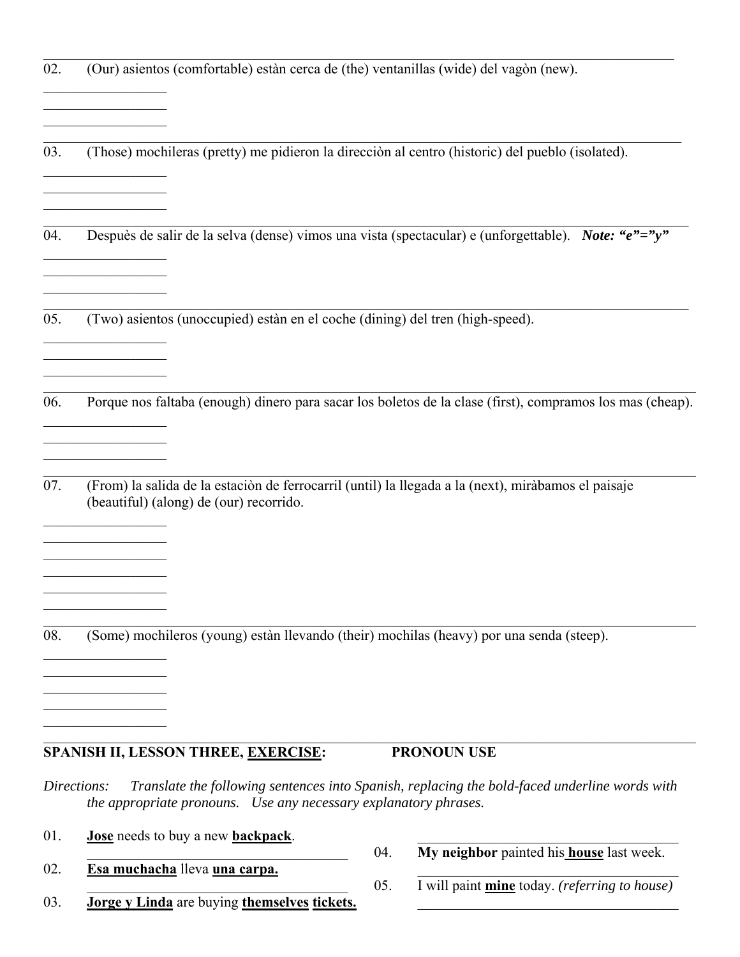| 02. | (Our) asientos (comfortable) estàn cerca de (the) ventanillas (wide) del vagòn (new).                                                                                                     |                                                                                                           |
|-----|-------------------------------------------------------------------------------------------------------------------------------------------------------------------------------------------|-----------------------------------------------------------------------------------------------------------|
| 03. | (Those) mochileras (pretty) me pidieron la dirección al centro (historic) del pueblo (isolated).                                                                                          |                                                                                                           |
| 04. |                                                                                                                                                                                           | Despuès de salir de la selva (dense) vimos una vista (spectacular) e (unforgettable). Note: "e"="y"       |
| 05. | (Two) asientos (unoccupied) estàn en el coche (dining) del tren (high-speed).                                                                                                             |                                                                                                           |
| 06. |                                                                                                                                                                                           | Porque nos faltaba (enough) dinero para sacar los boletos de la clase (first), compramos los mas (cheap). |
| 07. | (From) la salida de la estación de ferrocarril (until) la llegada a la (next), miràbamos el paisaje<br>(beautiful) (along) de (our) recorrido.<br><u> 1990 - Johann Barbara, martin a</u> |                                                                                                           |
| 08. | (Some) mochileros (young) estàn llevando (their) mochilas (heavy) por una senda (steep).                                                                                                  |                                                                                                           |
|     |                                                                                                                                                                                           |                                                                                                           |
|     | SPANISH II, LESSON THREE, EXERCISE:                                                                                                                                                       | <b>PRONOUN USE</b>                                                                                        |
|     | Directions:<br>the appropriate pronouns. Use any necessary explanatory phrases.                                                                                                           | Translate the following sentences into Spanish, replacing the bold-faced underline words with             |
| 01. | Jose needs to buy a new backpack.                                                                                                                                                         | My neighbor painted his house last week.<br>04.                                                           |
| 02. | Esa muchacha lleva una carpa.                                                                                                                                                             |                                                                                                           |
| 03. | Jorge y Linda are buying themselves tickets.                                                                                                                                              | I will paint mine today. (referring to house)<br>05.                                                      |
|     |                                                                                                                                                                                           |                                                                                                           |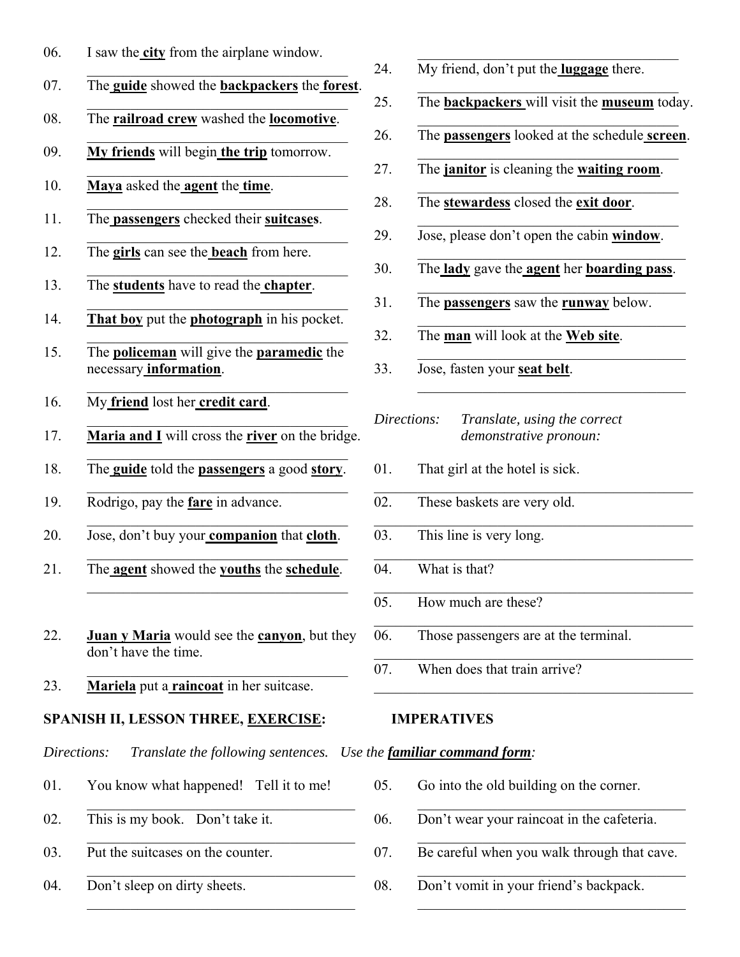- 06. I saw the **city** from the airplane window.
- 07. The **guide** showed the **backpackers** the **forest**.
- 08. The **railroad crew** washed the **locomotive**.
- 09. **My friends** will begin **the trip** tomorrow.
- 10. **Maya** asked the **agent** the **time**.
- 11. The **passengers** checked their **suitcases**.
- 12. The **girls** can see the **beach** from here.
- 13. The **students** have to read the **chapter**.
- 14. **That boy** put the **photograph** in his pocket.
- 15. The **policeman** will give the **paramedic** the necessary **information**.
- 16. My **friend** lost her **credit card**.
- 17. **Maria and I** will cross the **river** on the bridge.
- 18. The **guide** told the **passengers** a good **story**.
- 19. Rodrigo, pay the **fare** in advance.
- 20. Jose, don't buy your **companion** that **cloth**.
- 21. The **agent** showed the **youths** the **schedule**.  $\mathcal{L}_\text{max}$  , we can assume that the contribution of  $\mathcal{L}_\text{max}$
- 22. **Juan y Maria** would see the **canyon**, but they don't have the time.

 $\mathcal{L}_\text{max}$  , we can assume that the contribution of  $\mathcal{L}_\text{max}$ 

23. **Mariela** put a **raincoat** in her suitcase.

# **SPANISH II, LESSON THREE, EXERCISE: IMPERATIVES**

*Directions: Translate the following sentences. Use the familiar command form:*

01. You know what happened! Tell it to me!

 $\mathcal{L}_\text{max}$  , and the set of the set of the set of the set of the set of the set of the set of the set of the set of the set of the set of the set of the set of the set of the set of the set of the set of the set of the

- 02. This is my book. Don't take it.
- 03. Put the suitcases on the counter.
- 04. Don't sleep on dirty sheets.
- 24. My friend, don't put the **luggage** there.
- 25. The **backpackers** will visit the **museum** today.
- 26. The **passengers** looked at the schedule **screen**.
- 27. The **janitor** is cleaning the **waiting room**.
- 28. The **stewardess** closed the **exit door**.
- 29. Jose, please don't open the cabin **window**.
- 30. The **lady** gave the **agent** her **boarding pass**.
- 31. The **passengers** saw the **runway** below.
- 32. The **man** will look at the **Web site**.
- 33. Jose, fasten your **seat belt**.
- *Directions: Translate, using the correct demonstrative pronoun:*
- 01. That girl at the hotel is sick.
- 02. These baskets are very old.
- 03. This line is very long.
- 04. What is that?
- 05. How much are these?
- 06. Those passengers are at the terminal.

 $\mathcal{L}_\text{max}$  and  $\mathcal{L}_\text{max}$  and  $\mathcal{L}_\text{max}$  and  $\mathcal{L}_\text{max}$  and  $\mathcal{L}_\text{max}$ 

07. When does that train arrive?

- 05. Go into the old building on the corner.
- 06. Don't wear your raincoat in the cafeteria.
- $\mathcal{L}_\text{max} = \frac{1}{2} \sum_{i=1}^{n} \frac{1}{2} \sum_{i=1}^{n} \frac{1}{2} \sum_{i=1}^{n} \frac{1}{2} \sum_{i=1}^{n} \frac{1}{2} \sum_{i=1}^{n} \frac{1}{2} \sum_{i=1}^{n} \frac{1}{2} \sum_{i=1}^{n} \frac{1}{2} \sum_{i=1}^{n} \frac{1}{2} \sum_{i=1}^{n} \frac{1}{2} \sum_{i=1}^{n} \frac{1}{2} \sum_{i=1}^{n} \frac{1}{2} \sum_{i=1}^{n} \frac{1$ 07. Be careful when you walk through that cave.
- 08. Don't vomit in your friend's backpack.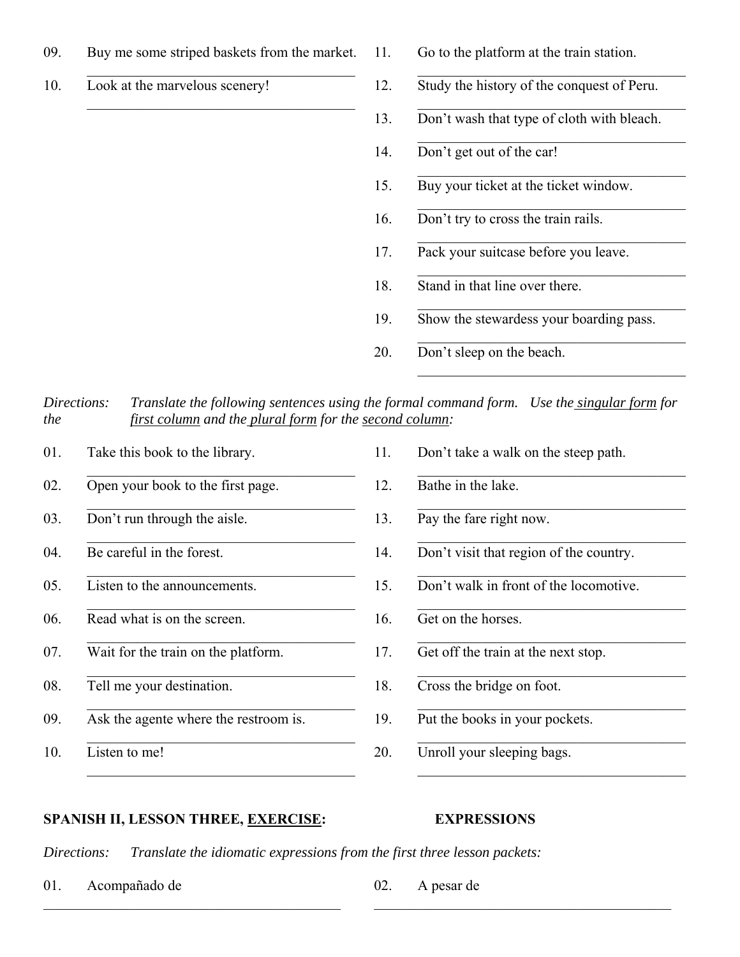- 09. Buy me some striped baskets from the market.
- 10. Look at the marvelous scenery!
- 11. Go to the platform at the train station.
- 12. Study the history of the conquest of Peru.
- 13. Don't wash that type of cloth with bleach.
- 14. Don't get out of the car!
- 15. Buy your ticket at the ticket window.
- 16. Don't try to cross the train rails.
- 17. Pack your suitcase before you leave.
- 18. Stand in that line over there.
- 19. Show the stewardess your boarding pass.
- 20. Don't sleep on the beach.

*Directions: Translate the following sentences using the formal command form. Use the singular form for the first column and the plural form for the second column:*

01. Take this book to the library. 02. Open your book to the first page.  $\mathcal{L}_\text{max}$  , and the set of the set of the set of the set of the set of the set of the set of the set of the set of the set of the set of the set of the set of the set of the set of the set of the set of the set of the 03. Don't run through the aisle. 04. Be careful in the forest. 05. Listen to the announcements. 06. Read what is on the screen. 07. Wait for the train on the platform.  $\mathcal{L}_\text{max}$  , and the set of the set of the set of the set of the set of the set of the set of the set of the set of the set of the set of the set of the set of the set of the set of the set of the set of the set of the 08. Tell me your destination. 09. Ask the agente where the restroom is. 10. Listen to me!

11. Don't take a walk on the steep path. 12. Bathe in the lake.  $\mathcal{L}_\text{max} = \frac{1}{2} \sum_{i=1}^{n} \frac{1}{2} \sum_{i=1}^{n} \frac{1}{2} \sum_{i=1}^{n} \frac{1}{2} \sum_{i=1}^{n} \frac{1}{2} \sum_{i=1}^{n} \frac{1}{2} \sum_{i=1}^{n} \frac{1}{2} \sum_{i=1}^{n} \frac{1}{2} \sum_{i=1}^{n} \frac{1}{2} \sum_{i=1}^{n} \frac{1}{2} \sum_{i=1}^{n} \frac{1}{2} \sum_{i=1}^{n} \frac{1}{2} \sum_{i=1}^{n} \frac{1$ 13. Pay the fare right now. 14. Don't visit that region of the country. 15. Don't walk in front of the locomotive. 16. Get on the horses. 17. Get off the train at the next stop.  $\mathcal{L}_\text{max} = \frac{1}{2} \sum_{i=1}^{n} \frac{1}{2} \sum_{i=1}^{n} \frac{1}{2} \sum_{i=1}^{n} \frac{1}{2} \sum_{i=1}^{n} \frac{1}{2} \sum_{i=1}^{n} \frac{1}{2} \sum_{i=1}^{n} \frac{1}{2} \sum_{i=1}^{n} \frac{1}{2} \sum_{i=1}^{n} \frac{1}{2} \sum_{i=1}^{n} \frac{1}{2} \sum_{i=1}^{n} \frac{1}{2} \sum_{i=1}^{n} \frac{1}{2} \sum_{i=1}^{n} \frac{1$ 18. Cross the bridge on foot. 19. Put the books in your pockets. 20. Unroll your sleeping bags.

### SPANISH II, LESSON THREE, **EXERCISE:** EXPRESSIONS

*Directions: Translate the idiomatic expressions from the first three lesson packets:*

01. Acompañado de

02. A pesar de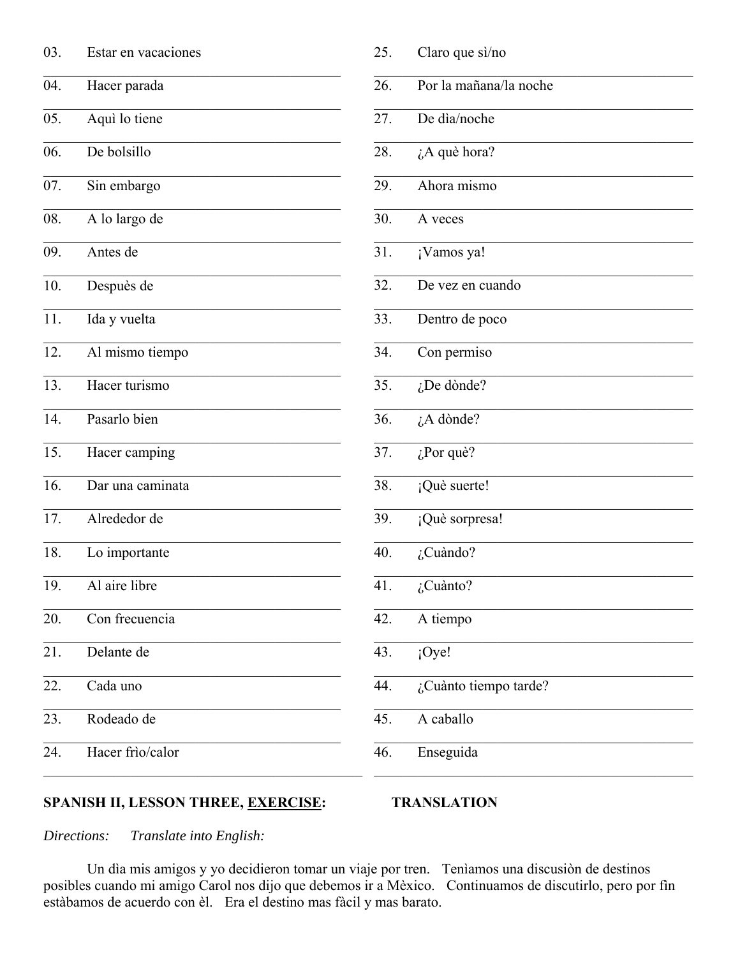| 03. | Estar en vacaciones | 25. | Claro que sì/no        |
|-----|---------------------|-----|------------------------|
| 04. | Hacer parada        | 26. | Por la mañana/la noche |
| 05. | Aquì lo tiene       | 27. | De dia/noche           |
| 06. | De bolsillo         | 28. | ¿A què hora?           |
| 07. | Sin embargo         | 29. | Ahora mismo            |
| 08. | A lo largo de       | 30. | A veces                |
| 09. | Antes de            | 31. | ¡Vamos ya!             |
| 10. | Despuès de          | 32. | De vez en cuando       |
| 11. | Ida y vuelta        | 33. | Dentro de poco         |
| 12. | Al mismo tiempo     | 34. | Con permiso            |
| 13. | Hacer turismo       | 35. | $i$ De dònde?          |
| 14. | Pasarlo bien        | 36. | $i$ A dònde?           |
| 15. | Hacer camping       | 37. | $i$ Por què?           |
| 16. | Dar una caminata    | 38. | ¡Què suerte!           |
| 17. | Alrededor de        | 39. | ¡Què sorpresa!         |
| 18. | Lo importante       | 40. | $i$ Cuàndo?            |
| 19. | Al aire libre       | 41. | $\zeta$ Cuànto?        |
| 20. | Con frecuencia      | 42. | A tiempo               |
| 21. | Delante de          | 43. | iOye!                  |
| 22. | Cada uno            | 44. | ¿Cuànto tiempo tarde?  |
| 23. | Rodeado de          | 45. | A caballo              |
| 24. | Hacer frìo/calor    | 46. | Enseguida              |
|     |                     |     |                        |

# SPANISH II, LESSON THREE, EXERCISE:

#### **TRANSLATION**

Translate into English: Directions:

Un dìa mis amigos y yo decidieron tomar un viaje por tren. Tenìamos una discusiòn de destinos posibles cuando mi amigo Carol nos dijo que debemos ir a Mèxico. Continuamos de discutirlo, pero por fin estàbamos de acuerdo con èl. Era el destino mas fàcil y mas barato.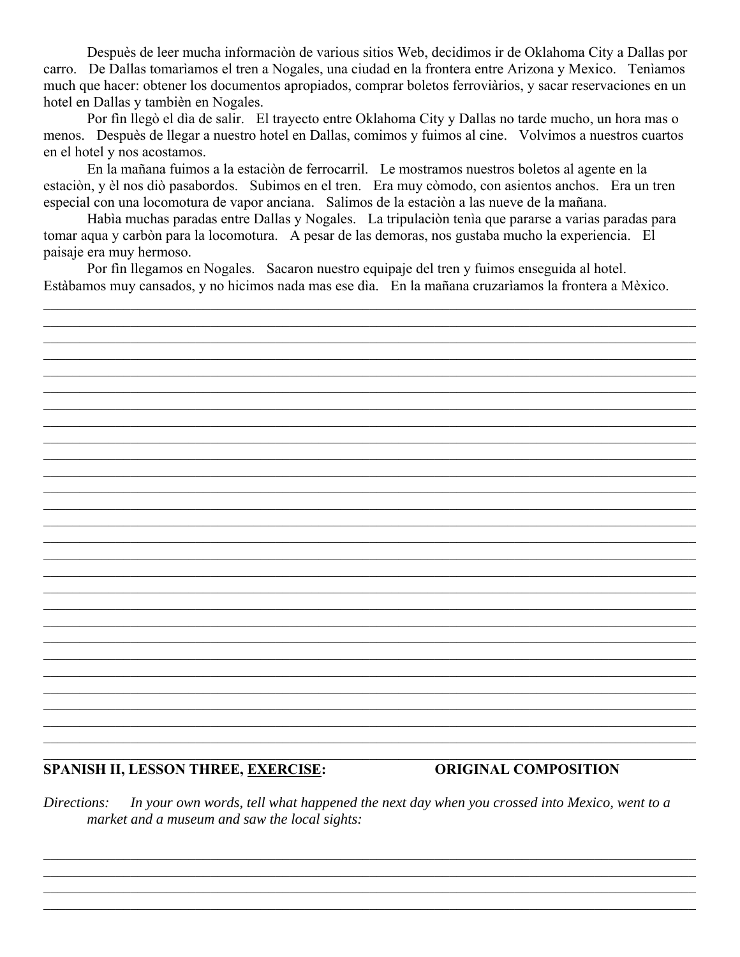Despuès de leer mucha información de various sitios Web, decidimos ir de Oklahoma City a Dallas por carro. De Dallas tomaríamos el tren a Nogales, una ciudad en la frontera entre Arizona y Mexico. Teníamos much que hacer: obtener los documentos apropiados, comprar boletos ferroviàrios, y sacar reservaciones en un hotel en Dallas y tambièn en Nogales.

Por fin llegò el dìa de salir. El trayecto entre Oklahoma City y Dallas no tarde mucho, un hora mas o menos. Despuès de llegar a nuestro hotel en Dallas, comimos y fuimos al cine. Volvimos a nuestros cuartos en el hotel y nos acostamos.

En la mañana fuimos a la estación de ferrocarril. Le mostramos nuestros boletos al agente en la estación, y èl nos dió pasabordos. Subimos en el tren. Era muy còmodo, con asientos anchos. Era un tren especial con una locomotura de vapor anciana. Salimos de la estación a las nueve de la mañana.

Habìa muchas paradas entre Dallas y Nogales. La tripulaciòn tenìa que pararse a varias paradas para tomar aqua y carbòn para la locomotura. A pesar de las demoras, nos gustaba mucho la experiencia. El paisaje era muy hermoso.

Por fin llegamos en Nogales. Sacaron nuestro equipaje del tren y fuimos enseguida al hotel. Estàbamos muy cansados, y no hicimos nada mas ese dìa. En la mañana cruzariamos la frontera a Mèxico.

#### **SPANISH II, LESSON THREE, EXERCISE:**

#### **ORIGINAL COMPOSITION**

In your own words, tell what happened the next day when you crossed into Mexico, went to a Directions: market and a museum and saw the local sights: